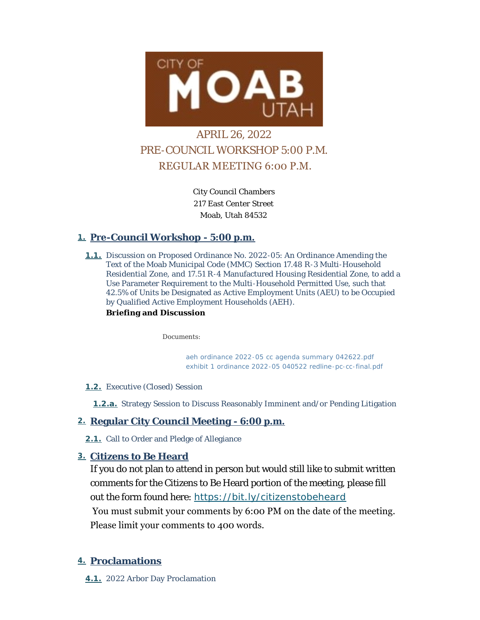

# APRIL 26, 2022 PRE-COUNCIL WORKSHOP 5:00 P.M. REGULAR MEETING 6:00 P.M.

City Council Chambers 217 East Center Street Moab, Utah 84532

# **Pre-Council Workshop - 5:00 p.m. 1.**

**1.1.** Discussion on Proposed Ordinance No. 2022-05: An Ordinance Amending the Text of the Moab Municipal Code (MMC) Section 17.48 R-3 Multi-Household Residential Zone, and 17.51 R-4 Manufactured Housing Residential Zone, to add a Use Parameter Requirement to the Multi-Household Permitted Use, such that 42.5% of Units be Designated as Active Employment Units (AEU) to be Occupied by Qualified Active Employment Households (AEH).

# **Briefing and Discussion**

*Documents:*

*[aeh ordinance 2022-05 cc agenda summary 042622.pdf](https://moabcity.org/AgendaCenter/ViewFile/Item/4831?fileID=5829) [exhibit 1 ordinance 2022-05 040522 redline-pc-cc-final.pdf](https://moabcity.org/AgendaCenter/ViewFile/Item/4831?fileID=5816)*

### Executive (Closed) Session **1.2.**

1.2.a. Strategy Session to Discuss Reasonably Imminent and/or Pending Litigation

# **Regular City Council Meeting - 6:00 p.m. 2.**

2.1. Call to Order and Pledge of Allegiance

# **Citizens to Be Heard 3.**

If you do not plan to attend in person but would still like to submit written comments for the Citizens to Be Heard portion of the meeting, please fill out the form found here: *<https://bit.ly/citizenstobeheard>* You must submit your comments by 6:00 PM on the date of the meeting. Please limit your comments to 400 words.

# **Proclamations 4.**

2022 Arbor Day Proclamation **4.1.**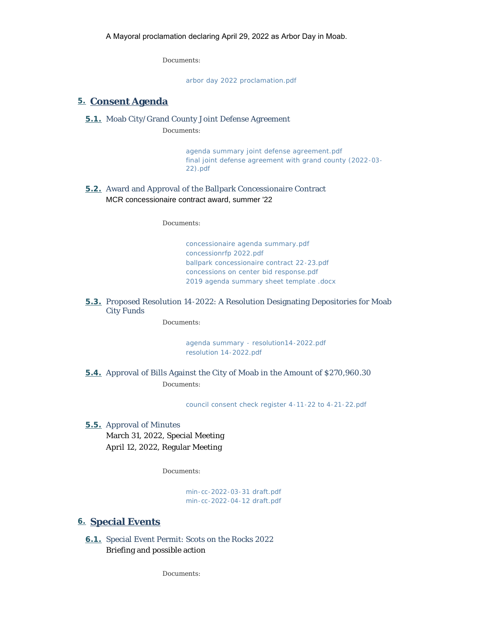*Documents:*

*[arbor day 2022 proclamation.pdf](https://moabcity.org/AgendaCenter/ViewFile/Item/4801?fileID=5796)*

#### **Consent Agenda 5.**

#### **5.1.** Moab City/Grand County Joint Defense Agreement

*Documents:*

*[agenda summary joint defense agreement.pdf](https://moabcity.org/AgendaCenter/ViewFile/Item/4825?fileID=5807) [final joint defense agreement with grand county \(2022-03-](https://moabcity.org/AgendaCenter/ViewFile/Item/4825?fileID=5808) 22).pdf*

#### **5.2.** Award and Approval of the Ballpark Concessionaire Contract MCR concessionaire contract award, summer '22

*Documents:*

*[concessionaire agenda summary.pdf](https://moabcity.org/AgendaCenter/ViewFile/Item/4826?fileID=5825) [concessionrfp 2022.pdf](https://moabcity.org/AgendaCenter/ViewFile/Item/4826?fileID=5826) [ballpark concessionaire contract 22-23.pdf](https://moabcity.org/AgendaCenter/ViewFile/Item/4826?fileID=5827) [concessions on center bid response.pdf](https://moabcity.org/AgendaCenter/ViewFile/Item/4826?fileID=5828) [2019 agenda summary sheet template .docx](https://moabcity.org/AgendaCenter/ViewFile/Item/4826?fileID=5834)*

#### **5.3.** Proposed Resolution 14-2022: A Resolution Designating Depositories for Moab City Funds

*Documents:*

*[agenda summary - resolution14-2022.pdf](https://moabcity.org/AgendaCenter/ViewFile/Item/4834?fileID=5832) [resolution 14-2022.pdf](https://moabcity.org/AgendaCenter/ViewFile/Item/4834?fileID=5833)*

**5.4.** Approval of Bills Against the City of Moab in the Amount of \$270,960.30 *Documents:*

*[council consent check register 4-11-22 to 4-21-22.pdf](https://moabcity.org/AgendaCenter/ViewFile/Item/4812?fileID=5835)*

**5.5.** Approval of Minutes March 31, 2022, Special Meeting April 12, 2022, Regular Meeting

*Documents:*

*[min-cc-2022-03-31 draft.pdf](https://moabcity.org/AgendaCenter/ViewFile/Item/4804?fileID=5805) [min-cc-2022-04-12 draft.pdf](https://moabcity.org/AgendaCenter/ViewFile/Item/4804?fileID=5806)*

#### **Special Events 6.**

6.1. Special Event Permit: Scots on the Rocks 2022 Briefing and possible action

*Documents:*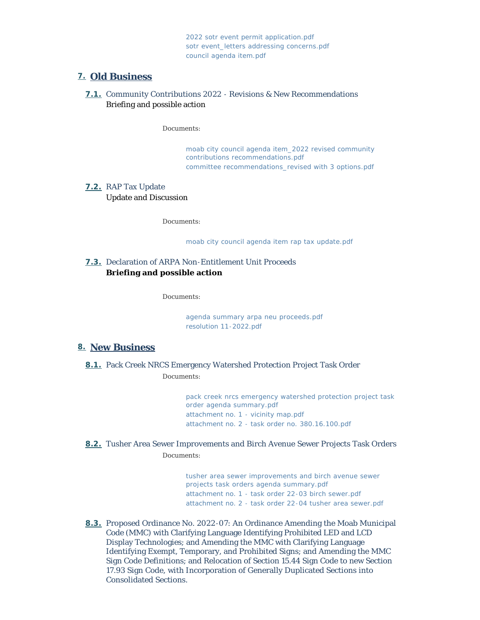*[2022 sotr event permit application.pdf](https://moabcity.org/AgendaCenter/ViewFile/Item/4828?fileID=5809) [sotr event\\_letters addressing concerns.pdf](https://moabcity.org/AgendaCenter/ViewFile/Item/4828?fileID=5810) [council agenda item.pdf](https://moabcity.org/AgendaCenter/ViewFile/Item/4828?fileID=5811)*

### **Old Business 7.**

#### **7.1.** Community Contributions 2022 - Revisions & New Recommendations Briefing and possible action

*Documents:*

*[moab city council agenda item\\_2022 revised community](https://moabcity.org/AgendaCenter/ViewFile/Item/4829?fileID=5812)  contributions recommendations.pdf [committee recommendations\\_revised with 3 options.pdf](https://moabcity.org/AgendaCenter/ViewFile/Item/4829?fileID=5813)*

# RAP Tax Update **7.2.**

Update and Discussion

*Documents:*

*[moab city council agenda item rap tax update.pdf](https://moabcity.org/AgendaCenter/ViewFile/Item/4830?fileID=5814)*

### 7.3. Declaration of ARPA Non-Entitlement Unit Proceeds **Briefing and possible action**

*Documents:*

*[agenda summary arpa neu proceeds.pdf](https://moabcity.org/AgendaCenter/ViewFile/Item/4833?fileID=5830) [resolution 11-2022.pdf](https://moabcity.org/AgendaCenter/ViewFile/Item/4833?fileID=5831)*

### **New Business 8.**

**8.1.** Pack Creek NRCS Emergency Watershed Protection Project Task Order *Documents:*

> *[pack creek nrcs emergency watershed protection project task](https://moabcity.org/AgendaCenter/ViewFile/Item/4824?fileID=5802)  order agenda summary.pdf [attachment no. 1 - vicinity map.pdf](https://moabcity.org/AgendaCenter/ViewFile/Item/4824?fileID=5803) [attachment no. 2 - task order no. 380.16.100.pdf](https://moabcity.org/AgendaCenter/ViewFile/Item/4824?fileID=5804)*

Tusher Area Sewer Improvements and Birch Avenue Sewer Projects Task Orders **8.2.** *Documents:*

> *[tusher area sewer improvements and birch avenue sewer](https://moabcity.org/AgendaCenter/ViewFile/Item/4823?fileID=5799)  projects task orders agenda summary.pdf [attachment no. 1 - task order 22-03 birch sewer.pdf](https://moabcity.org/AgendaCenter/ViewFile/Item/4823?fileID=5800) [attachment no. 2 - task order 22-04 tusher area sewer.pdf](https://moabcity.org/AgendaCenter/ViewFile/Item/4823?fileID=5801)*

8.3. Proposed Ordinance No. 2022-07: An Ordinance Amending the Moab Municipal Code (MMC) with Clarifying Language Identifying Prohibited LED and LCD Display Technologies; and Amending the MMC with Clarifying Language Identifying Exempt, Temporary, and Prohibited Signs; and Amending the MMC Sign Code Definitions; and Relocation of Section 15.44 Sign Code to new Section 17.93 Sign Code, with Incorporation of Generally Duplicated Sections into Consolidated Sections.